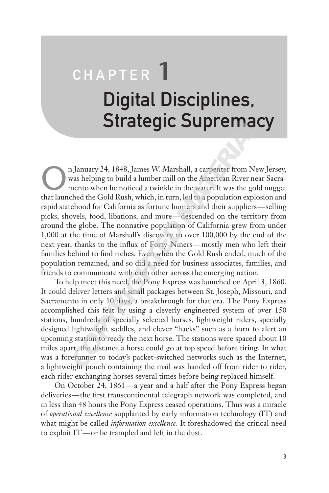# CHAPTER **1**

## Digital Disciplines, Strategic Supremacy

n January 24, 1848, James W. Marshall, a carpenter from New Jersey, was helping to build a lumber mill on the American River near Sacramento when he noticed a twinkle in the water. It was the gold nugget that launched the Gold Rush, which, in turn, led to a population explosion and rapid statehood for California as fortune hunters and their suppliers—selling picks, shovels, food, libations, and more—descended on the territory from around the globe. The nonnative population of California grew from under 1,000 at the time of Marshall's discovery to over 100,000 by the end of the next year, thanks to the influx of Forty-Niners—mostly men who left their families behind to find riches. Even when the Gold Rush ended, much of the population remained, and so did a need for business associates, families, and friends to communicate with each other across the emerging nation. *COPYRIGHTED MATERIAL*

To help meet this need, the Pony Express was launched on April 3, 1860. It could deliver letters and small packages between St. Joseph, Missouri, and Sacramento in only 10 days, a breakthrough for that era. The Pony Express accomplished this feat by using a cleverly engineered system of over 150 stations, hundreds of specially selected horses, lightweight riders, specially designed lightweight saddles, and clever "hacks" such as a horn to alert an upcoming station to ready the next horse. The stations were spaced about 10 miles apart, the distance a horse could go at top speed before tiring. In what was a forerunner to today's packet-switched networks such as the Internet, a lightweight pouch containing the mail was handed off from rider to rider, each rider exchanging horses several times before being replaced himself.

On October 24, 1861—a year and a half after the Pony Express began deliveries— the first transcontinental telegraph network was completed, and in less than 48 hours the Pony Express ceased operations. Thus was a miracle of *operational excellence* supplanted by early information technology (IT) and what might be called *information excellence*. It foreshadowed the critical need to exploit IT—or be trampled and left in the dust.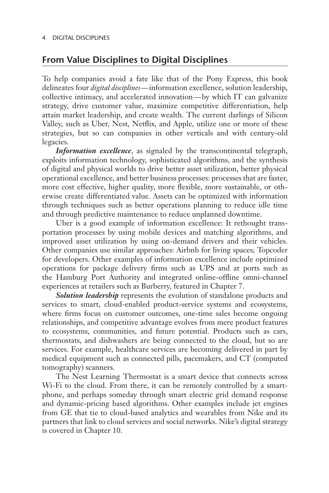## **From Value Disciplines to Digital Disciplines**

To help companies avoid a fate like that of the Pony Express, this book delineates four *digital disciplines*—information excellence, solution leadership, collective intimacy, and accelerated innovation—by which IT can galvanize strategy, drive customer value, maximize competitive differentiation, help attain market leadership, and create wealth. The current darlings of Silicon Valley, such as Uber, Nest, Netflix, and Apple, utilize one or more of these strategies, but so can companies in other verticals and with century-old legacies.

*Information excellence*, as signaled by the transcontinental telegraph, exploits information technology, sophisticated algorithms, and the synthesis of digital and physical worlds to drive better asset utilization, better physical operational excellence, and better business processes: processes that are faster, more cost effective, higher quality, more flexible, more sustainable, or otherwise create differentiated value. Assets can be optimized with information through techniques such as better operations planning to reduce idle time and through predictive maintenance to reduce unplanned downtime.

Uber is a good example of information excellence: It rethought transportation processes by using mobile devices and matching algorithms, and improved asset utilization by using on-demand drivers and their vehicles. Other companies use similar approaches: Airbnb for living spaces; Topcoder for developers. Other examples of information excellence include optimized operations for package delivery firms such as UPS and at ports such as the Hamburg Port Authority and integrated online-offline omni-channel experiences at retailers such as Burberry, featured in Chapter 7.

*Solution leadership* represents the evolution of standalone products and services to smart, cloud-enabled product-service systems and ecosystems, where firms focus on customer outcomes, one-time sales become ongoing relationships, and competitive advantage evolves from mere product features to ecosystems, communities, and future potential. Products such as cars, thermostats, and dishwashers are being connected to the cloud, but so are services. For example, healthcare services are becoming delivered in part by medical equipment such as connected pills, pacemakers, and CT (computed tomography) scanners.

The Nest Learning Thermostat is a smart device that connects across Wi-Fi to the cloud. From there, it can be remotely controlled by a smartphone, and perhaps someday through smart electric grid demand response and dynamic-pricing based algorithms. Other examples include jet engines from GE that tie to cloud-based analytics and wearables from Nike and its partners that link to cloud services and social networks. Nike's digital strategy is covered in Chapter 10.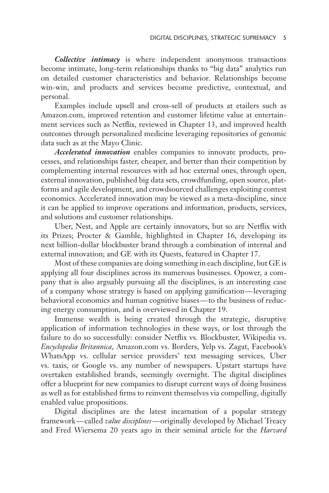*Collective intimacy* is where independent anonymous transactions become intimate, long-term relationships thanks to "big data" analytics run on detailed customer characteristics and behavior. Relationships become win-win, and products and services become predictive, contextual, and personal.

Examples include upsell and cross-sell of products at etailers such as Amazon.com, improved retention and customer lifetime value at entertainment services such as Netflix, reviewed in Chapter 13, and improved health outcomes through personalized medicine leveraging repositories of genomic data such as at the Mayo Clinic.

*Accelerated innovation* enables companies to innovate products, processes, and relationships faster, cheaper, and better than their competition by complementing internal resources with ad hoc external ones, through open, external innovation, published big data sets, crowdfunding, open source, platforms and agile development, and crowdsourced challenges exploiting contest economics. Accelerated innovation may be viewed as a meta-discipline, since it can be applied to improve operations and information, products, services, and solutions and customer relationships.

Uber, Nest, and Apple are certainly innovators, but so are Netflix with its Prizes; Procter & Gamble, highlighted in Chapter 16, developing its next billion-dollar blockbuster brand through a combination of internal and external innovation; and GE with its Quests, featured in Chapter 17.

Most of these companies are doing something in each discipline, but GE is applying all four disciplines across its numerous businesses. Opower, a company that is also arguably pursuing all the disciplines, is an interesting case of a company whose strategy is based on applying gamification—leveraging behavioral economics and human cognitive biases— to the business of reducing energy consumption, and is overviewed in Chapter 19.

Immense wealth is being created through the strategic, disruptive application of information technologies in these ways, or lost through the failure to do so successfully: consider Netflix vs. Blockbuster, Wikipedia vs. *Encyclopedia Britannica*, Amazon.com vs. Borders, Yelp vs. Zagat, Facebook's WhatsApp vs. cellular service providers' text messaging services, Uber vs. taxis, or Google vs. any number of newspapers. Upstart startups have overtaken established brands, seemingly overnight. The digital disciplines offer a blueprint for new companies to disrupt current ways of doing business as well as for established firms to reinvent themselves via compelling, digitally enabled value propositions.

Digital disciplines are the latest incarnation of a popular strategy framework—called *value disciplines*—originally developed by Michael Treacy and Fred Wiersema 20 years ago in their seminal article for the *Harvard*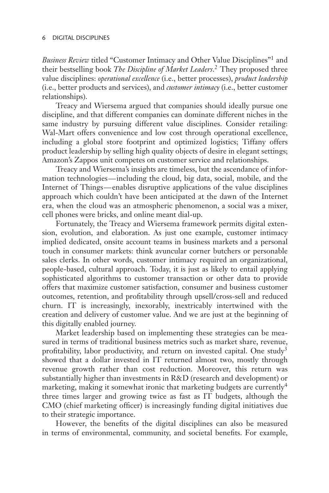*Business Review* titled "Customer Intimacy and Other Value Disciplines"1 and their bestselling book *The Discipline of Market Leaders*. <sup>2</sup> They proposed three value disciplines: *operational excellence* (i.e., better processes), *product leadership* (i.e., better products and services), and *customer intimacy* (i.e., better customer relationships).

Treacy and Wiersema argued that companies should ideally pursue one discipline, and that different companies can dominate different niches in the same industry by pursuing different value disciplines. Consider retailing: Wal-Mart offers convenience and low cost through operational excellence, including a global store footprint and optimized logistics; Tiffany offers product leadership by selling high quality objects of desire in elegant settings; Amazon's Zappos unit competes on customer service and relationships.

Treacy and Wiersema's insights are timeless, but the ascendance of information technologies—including the cloud, big data, social, mobile, and the Internet of Things—enables disruptive applications of the value disciplines approach which couldn't have been anticipated at the dawn of the Internet era, when the cloud was an atmospheric phenomenon, a social was a mixer, cell phones were bricks, and online meant dial-up.

Fortunately, the Treacy and Wiersema framework permits digital extension, evolution, and elaboration. As just one example, customer intimacy implied dedicated, onsite account teams in business markets and a personal touch in consumer markets: think avuncular corner butchers or personable sales clerks. In other words, customer intimacy required an organizational, people-based, cultural approach. Today, it is just as likely to entail applying sophisticated algorithms to customer transaction or other data to provide offers that maximize customer satisfaction, consumer and business customer outcomes, retention, and profitability through upsell/cross-sell and reduced churn. IT is increasingly, inexorably, inextricably intertwined with the creation and delivery of customer value. And we are just at the beginning of this digitally enabled journey.

Market leadership based on implementing these strategies can be measured in terms of traditional business metrics such as market share, revenue, profitability, labor productivity, and return on invested capital. One study<sup>3</sup> showed that a dollar invested in IT returned almost two, mostly through revenue growth rather than cost reduction. Moreover, this return was substantially higher than investments in R&D (research and development) or marketing, making it somewhat ironic that marketing budgets are currently<sup>4</sup> three times larger and growing twice as fast as IT budgets, although the CMO (chief marketing officer) is increasingly funding digital initiatives due to their strategic importance.

However, the benefits of the digital disciplines can also be measured in terms of environmental, community, and societal benefits. For example,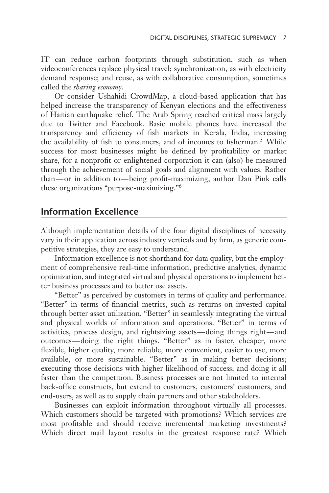IT can reduce carbon footprints through substitution, such as when videoconferences replace physical travel; synchronization, as with electricity demand response; and reuse, as with collaborative consumption, sometimes called the *sharing economy*.

Or consider Ushahidi CrowdMap, a cloud-based application that has helped increase the transparency of Kenyan elections and the effectiveness of Haitian earthquake relief. The Arab Spring reached critical mass largely due to Twitter and Facebook. Basic mobile phones have increased the transparency and efficiency of fish markets in Kerala, India, increasing the availability of fish to consumers, and of incomes to fisherman.<sup>5</sup> While success for most businesses might be defined by profitability or market share, for a nonprofit or enlightened corporation it can (also) be measured through the achievement of social goals and alignment with values. Rather than—or in addition to—being profit-maximizing, author Dan Pink calls these organizations "purpose-maximizing."6

#### **Information Excellence**

Although implementation details of the four digital disciplines of necessity vary in their application across industry verticals and by firm, as generic competitive strategies, they are easy to understand.

Information excellence is not shorthand for data quality, but the employment of comprehensive real-time information, predictive analytics, dynamic optimization, and integrated virtual and physical operations to implement better business processes and to better use assets.

"Better" as perceived by customers in terms of quality and performance. "Better" in terms of financial metrics, such as returns on invested capital through better asset utilization. "Better" in seamlessly integrating the virtual and physical worlds of information and operations. "Better" in terms of activities, process design, and rightsizing assets—doing things right—and outcomes—doing the right things. "Better" as in faster, cheaper, more flexible, higher quality, more reliable, more convenient, easier to use, more available, or more sustainable. "Better" as in making better decisions; executing those decisions with higher likelihood of success; and doing it all faster than the competition. Business processes are not limited to internal back-office constructs, but extend to customers, customers' customers, and end-users, as well as to supply chain partners and other stakeholders.

Businesses can exploit information throughout virtually all processes. Which customers should be targeted with promotions? Which services are most profitable and should receive incremental marketing investments? Which direct mail layout results in the greatest response rate? Which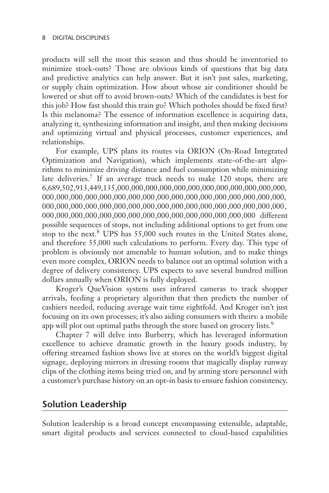products will sell the most this season and thus should be inventoried to minimize stock-outs? Those are obvious kinds of questions that big data and predictive analytics can help answer. But it isn't just sales, marketing, or supply chain optimization. How about whose air conditioner should be lowered or shut off to avoid brown-outs? Which of the candidates is best for this job? How fast should this train go? Which potholes should be fixed first? Is this melanoma? The essence of information excellence is acquiring data, analyzing it, synthesizing information and insight, and then making decisions and optimizing virtual and physical processes, customer experiences, and relationships.

For example, UPS plans its routes via ORION (On-Road Integrated Optimization and Navigation), which implements state-of-the-art algorithms to minimize driving distance and fuel consumption while minimizing late deliveries.<sup>7</sup> If an average truck needs to make 120 stops, there are 6,689,502,913,449,135,000,000,000,000,000,000,000,000,000,000,000,000, 000,000,000,000,000,000,000,000,000,000,000,000,000,000,000,000,000,000,000,000,000,000,000,000,000,000,000,000, 000,000,000,000,000,000,000,000,000,000,000,000,000,000,000,000,000, 000,000,000,000,000,000,000,000,000,000,000,000,000,000,000 different possible sequences of stops, not including additional options to get from one stop to the next.<sup>8</sup> UPS has 55,000 such routes in the United States alone, and therefore 55,000 such calculations to perform. Every day. This type of problem is obviously not amenable to human solution, and to make things even more complex, ORION needs to balance out an optimal solution with a degree of delivery consistency. UPS expects to save several hundred million dollars annually when ORION is fully deployed.

Kroger's QueVision system uses infrared cameras to track shopper arrivals, feeding a proprietary algorithm that then predicts the number of cashiers needed, reducing average wait time eightfold. And Kroger isn't just focusing on its own processes; it's also aiding consumers with theirs: a mobile app will plot out optimal paths through the store based on grocery lists.<sup>9</sup>

Chapter 7 will delve into Burberry, which has leveraged information excellence to achieve dramatic growth in the luxury goods industry, by offering streamed fashion shows live at stores on the world's biggest digital signage, deploying mirrors in dressing rooms that magically display runway clips of the clothing items being tried on, and by arming store personnel with a customer's purchase history on an opt-in basis to ensure fashion consistency.

## **Solution Leadership**

Solution leadership is a broad concept encompassing extensible, adaptable, smart digital products and services connected to cloud-based capabilities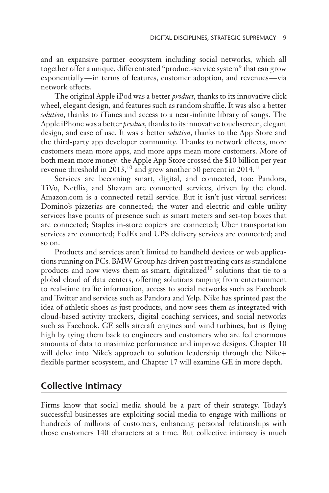and an expansive partner ecosystem including social networks, which all together offer a unique, differentiated "product-service system" that can grow exponentially—in terms of features, customer adoption, and revenues—via network effects.

The original Apple iPod was a better *product*, thanks to its innovative click wheel, elegant design, and features such as random shuffle. It was also a better *solution*, thanks to iTunes and access to a near-infinite library of songs. The Apple iPhone was a better *product*, thanks to its innovative touchscreen, elegant design, and ease of use. It was a better *solution*, thanks to the App Store and the third-party app developer community. Thanks to network effects, more customers mean more apps, and more apps mean more customers. More of both mean more money: the Apple App Store crossed the \$10 billion per year revenue threshold in 2013,<sup>10</sup> and grew another 50 percent in 2014.<sup>11</sup>

Services are becoming smart, digital, and connected, too: Pandora, TiVo, Netflix, and Shazam are connected services, driven by the cloud. Amazon.com is a connected retail service. But it isn't just virtual services: Domino's pizzerias are connected; the water and electric and cable utility services have points of presence such as smart meters and set-top boxes that are connected; Staples in-store copiers are connected; Uber transportation services are connected; FedEx and UPS delivery services are connected; and so on.

Products and services aren't limited to handheld devices or web applications running on PCs. BMW Group has driven past treating cars as standalone products and now views them as smart, digitalized<sup>12</sup> solutions that tie to a global cloud of data centers, offering solutions ranging from entertainment to real-time traffic information, access to social networks such as Facebook and Twitter and services such as Pandora and Yelp. Nike has sprinted past the idea of athletic shoes as just products, and now sees them as integrated with cloud-based activity trackers, digital coaching services, and social networks such as Facebook. GE sells aircraft engines and wind turbines, but is flying high by tying them back to engineers and customers who are fed enormous amounts of data to maximize performance and improve designs. Chapter 10 will delve into Nike's approach to solution leadership through the Nike+ flexible partner ecosystem, and Chapter 17 will examine GE in more depth.

## **Collective Intimacy**

Firms know that social media should be a part of their strategy. Today's successful businesses are exploiting social media to engage with millions or hundreds of millions of customers, enhancing personal relationships with those customers 140 characters at a time. But collective intimacy is much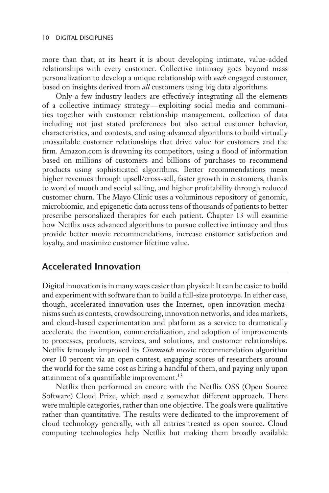more than that; at its heart it is about developing intimate, value-added relationships with every customer. Collective intimacy goes beyond mass personalization to develop a unique relationship with *each* engaged customer, based on insights derived from *all* customers using big data algorithms.

Only a few industry leaders are effectively integrating all the elements of a collective intimacy strategy—exploiting social media and communities together with customer relationship management, collection of data including not just stated preferences but also actual customer behavior, characteristics, and contexts, and using advanced algorithms to build virtually unassailable customer relationships that drive value for customers and the firm. Amazon.com is drowning its competitors, using a flood of information based on millions of customers and billions of purchases to recommend products using sophisticated algorithms. Better recommendations mean higher revenues through upsell/cross-sell, faster growth in customers, thanks to word of mouth and social selling, and higher profitability through reduced customer churn. The Mayo Clinic uses a voluminous repository of genomic, microbiomic, and epigenetic data across tens of thousands of patients to better prescribe personalized therapies for each patient. Chapter 13 will examine how Netflix uses advanced algorithms to pursue collective intimacy and thus provide better movie recommendations, increase customer satisfaction and loyalty, and maximize customer lifetime value.

## **Accelerated Innovation**

Digital innovation is in many ways easier than physical: It can be easier to build and experiment with software than to build a full-size prototype. In either case, though, accelerated innovation uses the Internet, open innovation mechanisms such as contests, crowdsourcing, innovation networks, and idea markets, and cloud-based experimentation and platform as a service to dramatically accelerate the invention, commercialization, and adoption of improvements to processes, products, services, and solutions, and customer relationships. Netflix famously improved its *Cinematch* movie recommendation algorithm over 10 percent via an open contest, engaging scores of researchers around the world for the same cost as hiring a handful of them, and paying only upon attainment of a quantifiable improvement.<sup>13</sup>

Netflix then performed an encore with the Netflix OSS (Open Source Software) Cloud Prize, which used a somewhat different approach. There were multiple categories, rather than one objective. The goals were qualitative rather than quantitative. The results were dedicated to the improvement of cloud technology generally, with all entries treated as open source. Cloud computing technologies help Netflix but making them broadly available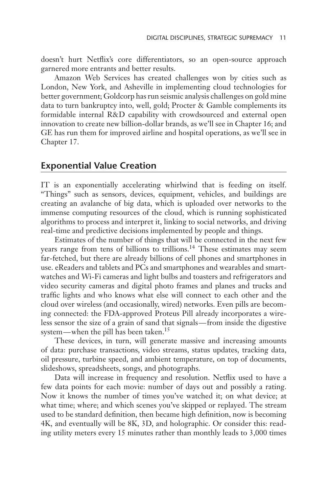doesn't hurt Netflix's core differentiators, so an open-source approach garnered more entrants and better results.

Amazon Web Services has created challenges won by cities such as London, New York, and Asheville in implementing cloud technologies for better government; Goldcorp has run seismic analysis challenges on gold mine data to turn bankruptcy into, well, gold; Procter & Gamble complements its formidable internal R&D capability with crowdsourced and external open innovation to create new billion-dollar brands, as we'll see in Chapter 16; and GE has run them for improved airline and hospital operations, as we'll see in Chapter 17.

#### **Exponential Value Creation**

IT is an exponentially accelerating whirlwind that is feeding on itself. "Things" such as sensors, devices, equipment, vehicles, and buildings are creating an avalanche of big data, which is uploaded over networks to the immense computing resources of the cloud, which is running sophisticated algorithms to process and interpret it, linking to social networks, and driving real-time and predictive decisions implemented by people and things.

Estimates of the number of things that will be connected in the next few years range from tens of billions to trillions.14 These estimates may seem far-fetched, but there are already billions of cell phones and smartphones in use. eReaders and tablets and PCs and smartphones and wearables and smartwatches and Wi-Fi cameras and light bulbs and toasters and refrigerators and video security cameras and digital photo frames and planes and trucks and traffic lights and who knows what else will connect to each other and the cloud over wireless (and occasionally, wired) networks. Even pills are becoming connected: the FDA-approved Proteus Pill already incorporates a wireless sensor the size of a grain of sand that signals— from inside the digestive system—when the pill has been taken.<sup>15</sup>

These devices, in turn, will generate massive and increasing amounts of data: purchase transactions, video streams, status updates, tracking data, oil pressure, turbine speed, and ambient temperature, on top of documents, slideshows, spreadsheets, songs, and photographs.

Data will increase in frequency and resolution. Netflix used to have a few data points for each movie: number of days out and possibly a rating. Now it knows the number of times you've watched it; on what device; at what time; where; and which scenes you've skipped or replayed. The stream used to be standard definition, then became high definition, now is becoming 4K, and eventually will be 8K, 3D, and holographic. Or consider this: reading utility meters every 15 minutes rather than monthly leads to 3,000 times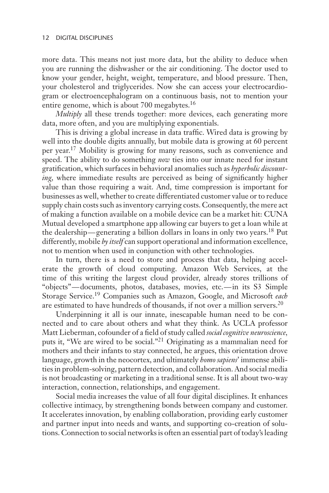more data. This means not just more data, but the ability to deduce when you are running the dishwasher or the air conditioning. The doctor used to know your gender, height, weight, temperature, and blood pressure. Then, your cholesterol and triglycerides. Now she can access your electrocardiogram or electroencephalogram on a continuous basis, not to mention your entire genome, which is about 700 megabytes.<sup>16</sup>

*Multiply* all these trends together: more devices, each generating more data, more often, and you are multiplying exponentials.

This is driving a global increase in data traffic. Wired data is growing by well into the double digits annually, but mobile data is growing at 60 percent per year.<sup>17</sup> Mobility is growing for many reasons, such as convenience and speed. The ability to do something *now* ties into our innate need for instant gratification, which surfaces in behavioral anomalies such as *hyperbolic discounting,* where immediate results are perceived as being of significantly higher value than those requiring a wait. And, time compression is important for businesses as well, whether to create differentiated customer value or to reduce supply chain costs such as inventory carrying costs. Consequently, the mere act of making a function available on a mobile device can be a market hit: CUNA Mutual developed a smartphone app allowing car buyers to get a loan while at the dealership—generating a billion dollars in loans in only two years.<sup>18</sup> Put differently, mobile *by itself* can support operational and information excellence, not to mention when used in conjunction with other technologies.

In turn, there is a need to store and process that data, helping accelerate the growth of cloud computing. Amazon Web Services, at the time of this writing the largest cloud provider, already stores trillions of "objects"—documents, photos, databases, movies, etc.—in its S3 Simple Storage Service.<sup>19</sup> Companies such as Amazon, Google, and Microsoft *each* are estimated to have hundreds of thousands, if not over a million servers.<sup>20</sup>

Underpinning it all is our innate, inescapable human need to be connected and to care about others and what they think. As UCLA professor Matt Lieberman, cofounder of a field of study called *social cognitive neuroscience,* puts it, "We are wired to be social."21 Originating as a mammalian need for mothers and their infants to stay connected, he argues, this orientation drove language, growth in the neocortex, and ultimately *homo sapiens*' immense abilities in problem-solving, pattern detection, and collaboration. And social media is not broadcasting or marketing in a traditional sense. It is all about two-way interaction, connection, relationships, and engagement.

Social media increases the value of all four digital disciplines. It enhances collective intimacy, by strengthening bonds between company and customer. It accelerates innovation, by enabling collaboration, providing early customer and partner input into needs and wants, and supporting co-creation of solutions. Connection to social networks is often an essential part of today's leading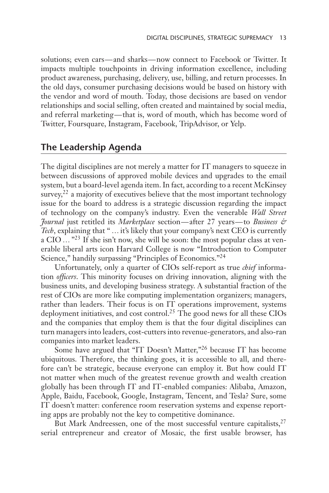solutions; even cars—and sharks—now connect to Facebook or Twitter. It impacts multiple touchpoints in driving information excellence, including product awareness, purchasing, delivery, use, billing, and return processes. In the old days, consumer purchasing decisions would be based on history with the vendor and word of mouth. Today, those decisions are based on vendor relationships and social selling, often created and maintained by social media, and referral marketing— that is, word of mouth, which has become word of Twitter, Foursquare, Instagram, Facebook, TripAdvisor, or Yelp.

### **The Leadership Agenda**

The digital disciplines are not merely a matter for IT managers to squeeze in between discussions of approved mobile devices and upgrades to the email system, but a board-level agenda item. In fact, according to a recent McKinsey survey, $22$  a majority of executives believe that the most important technology issue for the board to address is a strategic discussion regarding the impact of technology on the company's industry. Even the venerable *Wall Street Journal* just retitled its *Marketplace* section—after 27 years— to *Business & Tech*, explaining that "…it's likely that your company's next CEO is currently a CIO…"23 If she isn't now, she will be soon: the most popular class at venerable liberal arts icon Harvard College is now "Introduction to Computer Science," handily surpassing "Principles of Economics."<sup>24</sup>

Unfortunately, only a quarter of CIOs self-report as true *chief* information *officers*. This minority focuses on driving innovation, aligning with the business units, and developing business strategy. A substantial fraction of the rest of CIOs are more like computing implementation organizers; managers, rather than leaders. Their focus is on IT operations improvement, systems deployment initiatives, and cost control.<sup>25</sup> The good news for all these CIOs and the companies that employ them is that the four digital disciplines can turn managers into leaders, cost-cutters into revenue-generators, and also-ran companies into market leaders.

Some have argued that "IT Doesn't Matter,"26 because IT has become ubiquitous. Therefore, the thinking goes, it is accessible to all, and therefore can't be strategic, because everyone can employ it. But how could IT not matter when much of the greatest revenue growth and wealth creation globally has been through IT and IT-enabled companies: Alibaba, Amazon, Apple, Baidu, Facebook, Google, Instagram, Tencent, and Tesla? Sure, some IT doesn't matter: conference room reservation systems and expense reporting apps are probably not the key to competitive dominance.

But Mark Andreessen, one of the most successful venture capitalists,  $27$ serial entrepreneur and creator of Mosaic, the first usable browser, has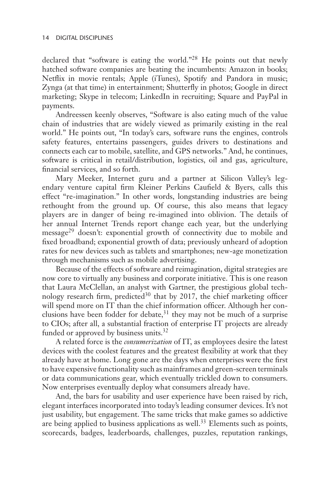declared that "software is eating the world."<sup>28</sup> He points out that newly hatched software companies are beating the incumbents: Amazon in books; Netflix in movie rentals; Apple (iTunes), Spotify and Pandora in music; Zynga (at that time) in entertainment; Shutterfly in photos; Google in direct marketing; Skype in telecom; LinkedIn in recruiting; Square and PayPal in payments.

Andreessen keenly observes, "Software is also eating much of the value chain of industries that are widely viewed as primarily existing in the real world." He points out, "In today's cars, software runs the engines, controls safety features, entertains passengers, guides drivers to destinations and connects each car to mobile, satellite, and GPS networks." And, he continues, software is critical in retail/distribution, logistics, oil and gas, agriculture, financial services, and so forth.

Mary Meeker, Internet guru and a partner at Silicon Valley's legendary venture capital firm Kleiner Perkins Caufield & Byers, calls this effect "re-imagination." In other words, longstanding industries are being rethought from the ground up. Of course, this also means that legacy players are in danger of being re-imagined into oblivion. The details of her annual Internet Trends report change each year, but the underlying message<sup>29</sup> doesn't: exponential growth of connectivity due to mobile and fixed broadband; exponential growth of data; previously unheard of adoption rates for new devices such as tablets and smartphones; new-age monetization through mechanisms such as mobile advertising.

Because of the effects of software and reimagination, digital strategies are now core to virtually any business and corporate initiative. This is one reason that Laura McClellan, an analyst with Gartner, the prestigious global technology research firm, predicted $30$  that by 2017, the chief marketing officer will spend more on IT than the chief information officer. Although her conclusions have been fodder for debate,  $31$  they may not be much of a surprise to CIOs; after all, a substantial fraction of enterprise IT projects are already funded or approved by business units.<sup>32</sup>

A related force is the *consumerization* of IT, as employees desire the latest devices with the coolest features and the greatest flexibility at work that they already have at home. Long gone are the days when enterprises were the first to have expensive functionality such as mainframes and green-screen terminals or data communications gear, which eventually trickled down to consumers. Now enterprises eventually deploy what consumers already have.

And, the bars for usability and user experience have been raised by rich, elegant interfaces incorporated into today's leading consumer devices. It's not just usability, but engagement. The same tricks that make games so addictive are being applied to business applications as well.<sup>33</sup> Elements such as points, scorecards, badges, leaderboards, challenges, puzzles, reputation rankings,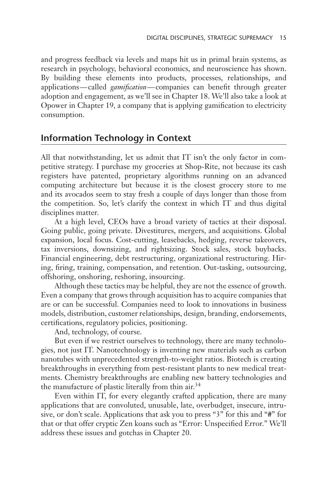and progress feedback via levels and maps hit us in primal brain systems, as research in psychology, behavioral economics, and neuroscience has shown. By building these elements into products, processes, relationships, and applications—called *gamification*—companies can benefit through greater adoption and engagement, as we'll see in Chapter 18. We'll also take a look at Opower in Chapter 19, a company that is applying gamification to electricity consumption.

### **Information Technology in Context**

All that notwithstanding, let us admit that IT isn't the only factor in competitive strategy. I purchase my groceries at Shop-Rite, not because its cash registers have patented, proprietary algorithms running on an advanced computing architecture but because it is the closest grocery store to me and its avocados seem to stay fresh a couple of days longer than those from the competition. So, let's clarify the context in which IT and thus digital disciplines matter.

At a high level, CEOs have a broad variety of tactics at their disposal. Going public, going private. Divestitures, mergers, and acquisitions. Global expansion, local focus. Cost-cutting, leasebacks, hedging, reverse takeovers, tax inversions, downsizing, and rightsizing. Stock sales, stock buybacks. Financial engineering, debt restructuring, organizational restructuring. Hiring, firing, training, compensation, and retention. Out-tasking, outsourcing, offshoring, onshoring, reshoring, insourcing.

Although these tactics may be helpful, they are not the essence of growth. Even a company that grows through acquisition has to acquire companies that are or can be successful. Companies need to look to innovations in business models, distribution, customer relationships, design, branding, endorsements, certifications, regulatory policies, positioning.

And, technology, of course.

But even if we restrict ourselves to technology, there are many technologies, not just IT. Nanotechnology is inventing new materials such as carbon nanotubes with unprecedented strength-to-weight ratios. Biotech is creating breakthroughs in everything from pest-resistant plants to new medical treatments. Chemistry breakthroughs are enabling new battery technologies and the manufacture of plastic literally from thin  $air<sup>34</sup>$ 

Even within IT, for every elegantly crafted application, there are many applications that are convoluted, unusable, late, overbudget, insecure, intrusive, or don't scale. Applications that ask you to press "3" for this and "#" for that or that offer cryptic Zen koans such as "Error: Unspecified Error." We'll address these issues and gotchas in Chapter 20.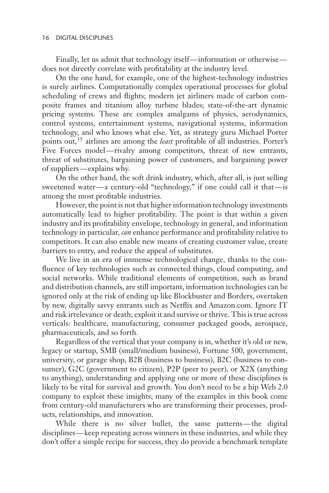Finally, let us admit that technology itself—information or otherwise does not directly correlate with profitability at the industry level.

On the one hand, for example, one of the highest-technology industries is surely airlines. Computationally complex operational processes for global scheduling of crews and flights; modern jet airliners made of carbon composite frames and titanium alloy turbine blades; state-of-the-art dynamic pricing systems. These are complex amalgams of physics, aerodynamics, control systems, entertainment systems, navigational systems, information technology, and who knows what else. Yet, as strategy guru Michael Porter points out,<sup>35</sup> airlines are among the *least* profitable of all industries. Porter's Five Forces model—rivalry among competitors, threat of new entrants, threat of substitutes, bargaining power of customers, and bargaining power of suppliers—explains why.

On the other hand, the soft drink industry, which, after all, is just selling sweetened water—a century-old "technology," if one could call it that—is among the most profitable industries.

However, the point is not that higher information technology investments automatically lead to higher profitability. The point is that within a given industry and its profitability envelope, technology in general, and information technology in particular, *can* enhance performance and profitability relative to competitors. It can also enable new means of creating customer value, create barriers to entry, and reduce the appeal of substitutes.

We live in an era of immense technological change, thanks to the confluence of key technologies such as connected things, cloud computing, and social networks. While traditional elements of competition, such as brand and distribution channels, are still important, information technologies can be ignored only at the risk of ending up like Blockbuster and Borders, overtaken by new, digitally savvy entrants such as Netflix and Amazon.com. Ignore IT and risk irrelevance or death; exploit it and survive or thrive. This is true across verticals: healthcare, manufacturing, consumer packaged goods, aerospace, pharmaceuticals, and so forth.

Regardless of the vertical that your company is in, whether it's old or new, legacy or startup, SMB (small/medium business), Fortune 500, government, university, or garage shop, B2B (business to business), B2C (business to consumer), G2C (government to citizen), P2P (peer to peer), or X2X (anything to anything), understanding and applying one or more of these disciplines is likely to be vital for survival and growth. You don't need to be a hip Web 2.0 company to exploit these insights; many of the examples in this book come from century-old manufacturers who are transforming their processes, products, relationships, and innovation.

While there is no silver bullet, the same patterns— the digital disciplines—keep repeating across winners in these industries, and while they don't offer a simple recipe for success, they do provide a benchmark template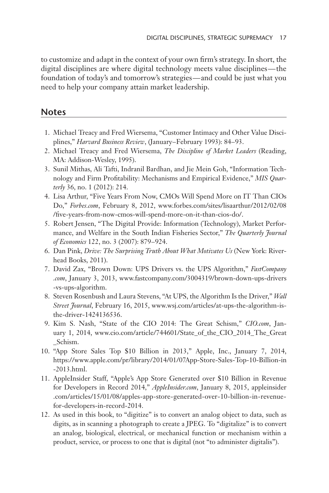to customize and adapt in the context of your own firm's strategy. In short, the digital disciplines are where digital technology meets value disciplines— the foundation of today's and tomorrow's strategies—and could be just what you need to help your company attain market leadership.

### **Notes**

- 1. Michael Treacy and Fred Wiersema, "Customer Intimacy and Other Value Disciplines," *Harvard Business Review*, (January–February 1993): 84–93.
- 2. Michael Treacy and Fred Wiersema, *The Discipline of Market Leaders* (Reading, MA: Addison-Wesley, 1995).
- 3. Sunil Mithas, Ali Tafti, Indranil Bardhan, and Jie Mein Goh, "Information Technology and Firm Profitability: Mechanisms and Empirical Evidence," *MIS Quarterly* 36, no. 1 (2012): 214.
- 4. Lisa Arthur, "Five Years From Now, CMOs Will Spend More on IT Than CIOs Do," *Forbes.com*, February 8, 2012, www.forbes.com/sites/lisaarthur/2012/02/08 /five-years-from-now-cmos-will-spend-more-on-it-than-cios-do/.
- 5. Robert Jensen, "The Digital Provide: Information (Technology), Market Performance, and Welfare in the South Indian Fisheries Sector," *The Quarterly Journal of Economics* 122, no. 3 (2007): 879–924.
- 6. Dan Pink, *Drive: The Surprising Truth About What Motivates Us* (New York: Riverhead Books, 2011).
- 7. David Zax, "Brown Down: UPS Drivers vs. the UPS Algorithm," *FastCompany .com*, January 3, 2013, www.fastcompany.com/3004319/brown-down-ups-drivers -vs-ups-algorithm.
- 8. Steven Rosenbush and Laura Stevens, "At UPS, the Algorithm Is the Driver," *Wall Street Journal*, February 16, 2015, www.wsj.com/articles/at-ups-the-algorithm-isthe-driver-1424136536.
- 9. Kim S. Nash, "State of the CIO 2014: The Great Schism," *CIO.com*, January 1, 2014, www.cio.com/article/744601/State\_of\_the\_CIO\_2014\_The\_Great \_Schism.
- 10. "App Store Sales Top \$10 Billion in 2013," Apple, Inc., January 7, 2014, https://www.apple.com/pr/library/2014/01/07App-Store-Sales-Top-10-Billion-in -2013.html.
- 11. AppleInsider Staff, "Apple's App Store Generated over \$10 Billion in Revenue for Developers in Record 2014," *AppleInsider.com*, January 8, 2015, appleinsider .com/articles/15/01/08/apples-app-store-generated-over-10-billion-in-revenuefor-developers-in-record-2014.
- 12. As used in this book, to "digitize" is to convert an analog object to data, such as digits, as in scanning a photograph to create a JPEG. To "digitalize" is to convert an analog, biological, electrical, or mechanical function or mechanism within a product, service, or process to one that is digital (not "to administer digitalis").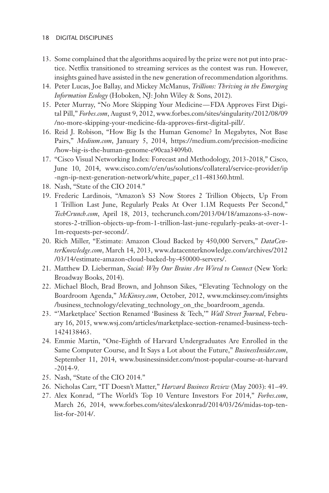#### 18 DIGITAL DISCIPLINES

- 13. Some complained that the algorithms acquired by the prize were not put into practice. Netflix transitioned to streaming services as the contest was run. However, insights gained have assisted in the new generation of recommendation algorithms.
- 14. Peter Lucas, Joe Ballay, and Mickey McManus, *Trillions: Thriving in the Emerging Information Ecology* (Hoboken, NJ: John Wiley & Sons, 2012).
- 15. Peter Murray, "No More Skipping Your Medicine—FDA Approves First Digital Pill," *Forbes.com*, August 9, 2012, www.forbes.com/sites/singularity/2012/08/09 /no-more-skipping-your-medicine-fda-approves-first-digital-pill/.
- 16. Reid J. Robison, "How Big Is the Human Genome? In Megabytes, Not Base Pairs," *Medium.com*, January 5, 2014, https://medium.com/precision-medicine /how-big-is-the-human-genome-e90caa3409b0.
- 17. "Cisco Visual Networking Index: Forecast and Methodology, 2013-2018," Cisco, June 10, 2014, www.cisco.com/c/en/us/solutions/collateral/service-provider/ip -ngn-ip-next-generation-network/white\_paper\_c11-481360.html.
- 18. Nash, "State of the CIO 2014."
- 19. Frederic Lardinois, "Amazon's S3 Now Stores 2 Trillion Objects, Up From 1 Trillion Last June, Regularly Peaks At Over 1.1M Requests Per Second," *TechCrunch.com*, April 18, 2013, techcrunch.com/2013/04/18/amazons-s3-nowstores-2-trillion-objects-up-from-1-trillion-last-june-regularly-peaks-at-over-1- 1m-requests-per-second/.
- 20. Rich Miller, "Estimate: Amazon Cloud Backed by 450,000 Servers," *DataCenterKnowledge.com*, March 14, 2013, www.datacenterknowledge.com/archives/2012 /03/14/estimate-amazon-cloud-backed-by-450000-servers/.
- 21. Matthew D. Lieberman, *Social: Why Our Brains Are Wired to Connect* (New York: Broadway Books, 2014).
- 22. Michael Bloch, Brad Brown, and Johnson Sikes, "Elevating Technology on the Boardroom Agenda," *McKinsey.com*, October, 2012, www.mckinsey.com/insights /business\_technology/elevating\_technology\_on\_the\_boardroom\_agenda.
- 23. "'Marketplace' Section Renamed 'Business & Tech,'" *Wall Street Journal*, February 16, 2015, www.wsj.com/articles/marketplace-section-renamed-business-tech-1424138463.
- 24. Emmie Martin, "One-Eighth of Harvard Undergraduates Are Enrolled in the Same Computer Course, and It Says a Lot about the Future," *BusinessInsider.com*, September 11, 2014, www.businessinsider.com/most-popular-course-at-harvard -2014-9.
- 25. Nash, "State of the CIO 2014."
- 26. Nicholas Carr, "IT Doesn't Matter," *Harvard Business Review* (May 2003): 41–49.
- 27. Alex Konrad, "The World's Top 10 Venture Investors For 2014," *Forbes.com*, March 26, 2014, www.forbes.com/sites/alexkonrad/2014/03/26/midas-top-tenlist-for-2014/.